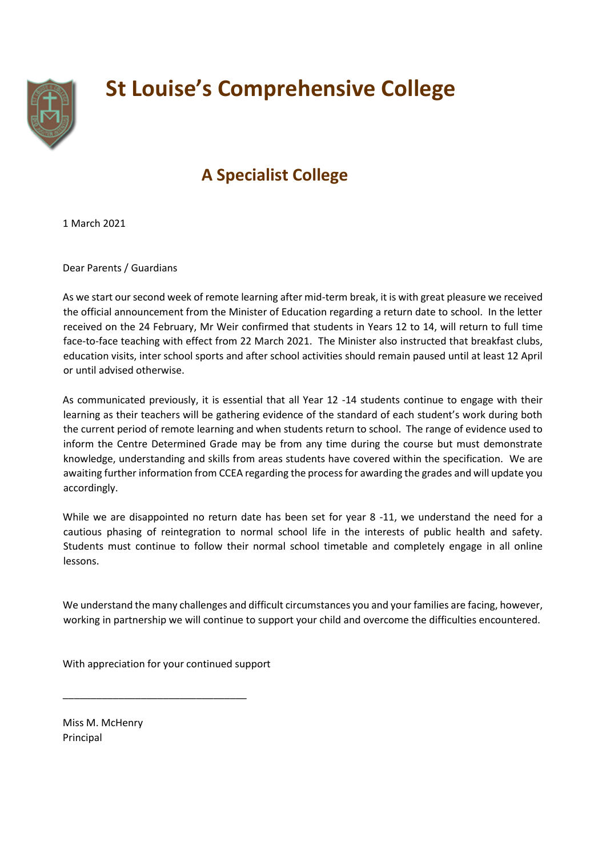

## **St Louise's Comprehensive College**

## **A Specialist College**

1 March 2021

Dear Parents / Guardians

As we start our second week of remote learning after mid-term break, it is with great pleasure we received the official announcement from the Minister of Education regarding a return date to school. In the letter received on the 24 February, Mr Weir confirmed that students in Years 12 to 14, will return to full time face-to-face teaching with effect from 22 March 2021. The Minister also instructed that breakfast clubs, education visits, inter school sports and after school activities should remain paused until at least 12 April or until advised otherwise.

As communicated previously, it is essential that all Year 12 -14 students continue to engage with their learning as their teachers will be gathering evidence of the standard of each student's work during both the current period of remote learning and when students return to school. The range of evidence used to inform the Centre Determined Grade may be from any time during the course but must demonstrate knowledge, understanding and skills from areas students have covered within the specification. We are awaiting further information from CCEA regarding the process for awarding the grades and will update you accordingly.

While we are disappointed no return date has been set for year 8 -11, we understand the need for a cautious phasing of reintegration to normal school life in the interests of public health and safety. Students must continue to follow their normal school timetable and completely engage in all online lessons.

We understand the many challenges and difficult circumstances you and your families are facing, however, working in partnership we will continue to support your child and overcome the difficulties encountered.

With appreciation for your continued support

\_\_\_\_\_\_\_\_\_\_\_\_\_\_\_\_\_\_\_\_\_\_\_\_\_\_\_\_\_\_\_\_\_

Miss M. McHenry Principal